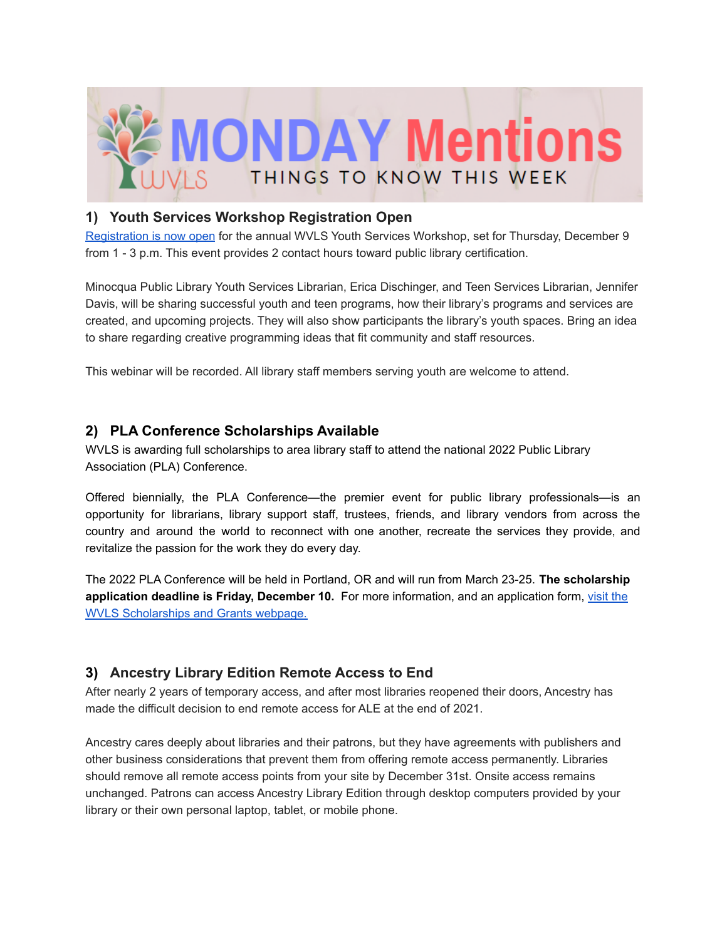

#### **1) Youth Services Workshop Registration Open**

[Registration](https://register.gotowebinar.com/register/1079470149049581067?fbclid=IwAR0kuuAT3L3O7hKfD7F7qFvcvjxwAOIDBugV1cVxwzDnjOWRkf1Y_BuCW5M) is now open for the annual WVLS Youth Services Workshop, set for Thursday, December 9 from 1 - 3 p.m. This event provides 2 contact hours toward public library certification.

Minocqua Public Library Youth Services Librarian, Erica Dischinger, and Teen Services Librarian, Jennifer Davis, will be sharing successful youth and teen programs, how their library's programs and services are created, and upcoming projects. They will also show participants the library's youth spaces. Bring an idea to share regarding creative programming ideas that fit community and staff resources.

This webinar will be recorded. All library staff members serving youth are welcome to attend.

#### **2) PLA Conference Scholarships Available**

WVLS is awarding full scholarships to area library staff to attend the national 2022 Public Library Association (PLA) Conference.

Offered biennially, the PLA Conference—the premier event for public library professionals—is an opportunity for librarians, library support staff, trustees, friends, and library vendors from across the country and around the world to reconnect with one another, recreate the services they provide, and revitalize the passion for the work they do every day.

The 2022 PLA Conference will be held in Portland, OR and will run from March 23-25. **The scholarship application deadline is Friday, December 10.** For more information, and an application form, [visit](https://wvls.org/scholarships-and-grants/) the WVLS [Scholarships](https://wvls.org/scholarships-and-grants/) and Grants webpage.

# **3) Ancestry Library Edition Remote Access to End**

After nearly 2 years of temporary access, and after most libraries reopened their doors, Ancestry has made the difficult decision to end remote access for ALE at the end of 2021.

Ancestry cares deeply about libraries and their patrons, but they have agreements with publishers and other business considerations that prevent them from offering remote access permanently. Libraries should remove all remote access points from your site by December 31st. Onsite access remains unchanged. Patrons can access Ancestry Library Edition through desktop computers provided by your library or their own personal laptop, tablet, or mobile phone.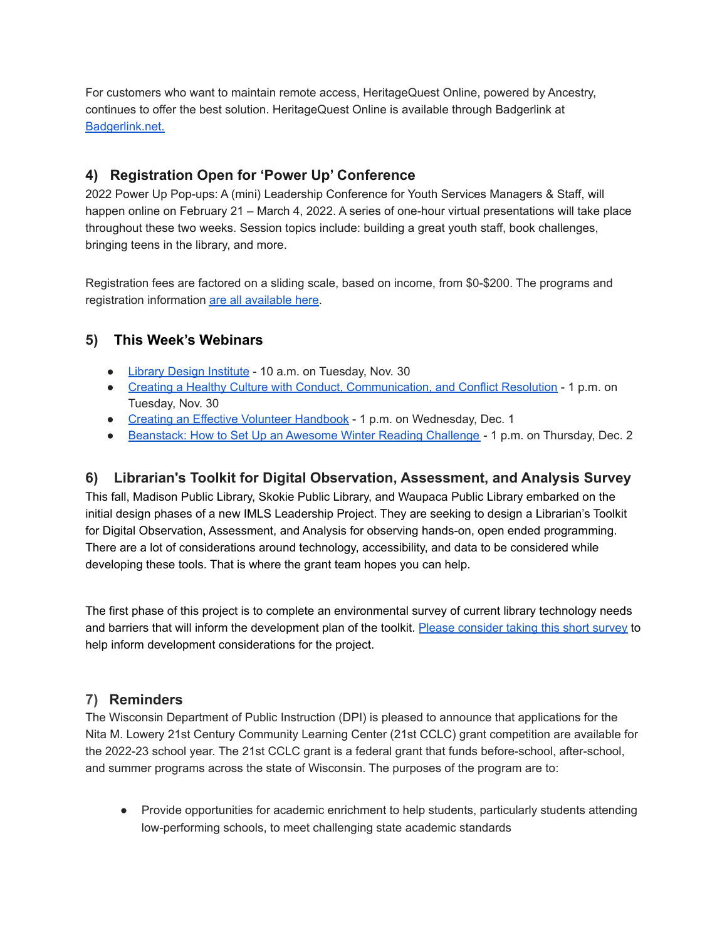For customers who want to maintain remote access, HeritageQuest Online, powered by Ancestry, continues to offer the best solution. HeritageQuest Online is available through Badgerlink at [Badgerlink.net.](http://badgerlink.net/)

# **4) Registration Open for 'Power Up' Conference**

2022 Power Up Pop-ups: A (mini) Leadership Conference for Youth Services Managers & Staff, will happen online on February 21 – March 4, 2022. A series of one-hour virtual presentations will take place throughout these two weeks. Session topics include: building a great youth staff, book challenges, bringing teens in the library, and more.

Registration fees are factored on a sliding scale, based on income, from \$0-\$200. The programs and registration information are all [available](https://ischool.wisc.edu/continuing-education/power-up/2022) here.

# **5) This Week's Webinars**

- Library Design [Institute](https://vshow.on24.com/vshow/LJDIS113021/registration/20304) 10 a.m. on Tuesday, Nov. 30
- Creating a Healthy Culture with Conduct, [Communication,](https://us02web.zoom.us/webinar/register/WN_8DLHg19gTOa0N2OoFR-8sg) and Conflict Resolution 1 p.m. on Tuesday, Nov. 30
- Creating an Effective Volunteer [Handbook](https://register.gotowebinar.com/rt/6315232368701569040) 1 p.m. on Wednesday, Dec. 1
- [Beanstack:](https://zoobean.zoom.us/webinar/register/WN_jkQxGBLOQwakhQdw3gq4DA?timezone_id=America%2FChicago) How to Set Up an Awesome Winter Reading Challenge 1 p.m. on Thursday, Dec. 2

# **6) Librarian's Toolkit for Digital Observation, Assessment, and Analysis Survey**

This fall, Madison Public Library, Skokie Public Library, and Waupaca Public Library embarked on the initial design phases of a new IMLS Leadership Project. They are seeking to design a Librarian's Toolkit for Digital Observation, Assessment, and Analysis for observing hands-on, open ended programming. There are a lot of considerations around technology, accessibility, and data to be considered while developing these tools. That is where the grant team hopes you can help.

The first phase of this project is to complete an environmental survey of current library technology needs and barriers that will inform the development plan of the toolkit. Please [consider](https://www.surveymonkey.com/r/IMLSLibrariansToolkit) taking this short survey to help inform development considerations for the project.

# **7) Reminders**

The Wisconsin Department of Public Instruction (DPI) is pleased to announce that applications for the Nita M. Lowery 21st Century Community Learning Center (21st CCLC) grant competition are available for the 2022-23 school year. The 21st CCLC grant is a federal grant that funds before-school, after-school, and summer programs across the state of Wisconsin. The purposes of the program are to:

● Provide opportunities for academic enrichment to help students, particularly students attending low-performing schools, to meet challenging state academic standards